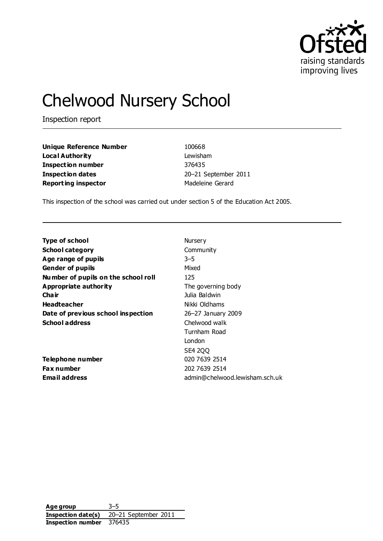

# Chelwood Nursery School

Inspection report

| <b>Unique Reference Number</b> | 100668           |
|--------------------------------|------------------|
| Local Authority                | Lewisham         |
| <b>Inspection number</b>       | 376435           |
| <b>Inspection dates</b>        | 20-21 September  |
| <b>Reporting inspector</b>     | Madeleine Gerard |

**unique Reference 100668** Lewisham **Inspection number** 376435 **Inspection dates** 20–21 September 2011

This inspection of the school was carried out under section 5 of the Education Act 2005.

| <b>Type of school</b>               | Nursery                        |
|-------------------------------------|--------------------------------|
| <b>School category</b>              | Community                      |
| Age range of pupils                 | $3 - 5$                        |
| <b>Gender of pupils</b>             | Mixed                          |
| Number of pupils on the school roll | 125                            |
| <b>Appropriate authority</b>        | The governing body             |
| Cha ir                              | Julia Baldwin                  |
| <b>Headteacher</b>                  | Nikki Oldhams                  |
| Date of previous school inspection  | 26–27 January 2009             |
| <b>School address</b>               | Chelwood walk                  |
|                                     | Turnham Road                   |
|                                     | London                         |
|                                     | SE4 200                        |
| Telephone number                    | 020 7639 2514                  |
| <b>Fax number</b>                   | 202 7639 2514                  |
| <b>Email address</b>                | admin@chelwood.lewisham.sch.uk |

**Age group** 3–5 **Inspection date(s)** 20–21 September 2011 **Inspection number** 376435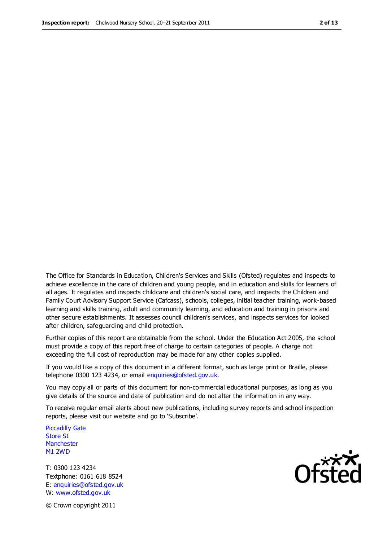The Office for Standards in Education, Children's Services and Skills (Ofsted) regulates and inspects to achieve excellence in the care of children and young people, and in education and skills for learners of all ages. It regulates and inspects childcare and children's social care, and inspects the Children and Family Court Advisory Support Service (Cafcass), schools, colleges, initial teacher training, work-based learning and skills training, adult and community learning, and education and training in prisons and other secure establishments. It assesses council children's services, and inspects services for looked after children, safeguarding and child protection.

Further copies of this report are obtainable from the school. Under the Education Act 2005, the school must provide a copy of this report free of charge to certain categories of people. A charge not exceeding the full cost of reproduction may be made for any other copies supplied.

If you would like a copy of this document in a different format, such as large print or Braille, please telephone 0300 123 4234, or email enquiries@ofsted.gov.uk.

You may copy all or parts of this document for non-commercial educational purposes, as long as you give details of the source and date of publication and do not alter the information in any way.

To receive regular email alerts about new publications, including survey reports and school inspection reports, please visit our website and go to 'Subscribe'.

Piccadilly Gate Store St **Manchester** M1 2WD

T: 0300 123 4234 Textphone: 0161 618 8524 E: enquiries@ofsted.gov.uk W: www.ofsted.gov.uk

**Ofsted** 

© Crown copyright 2011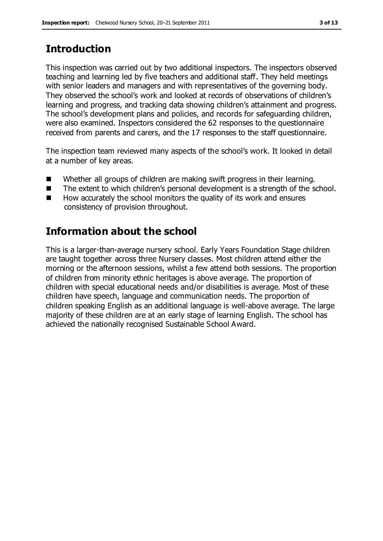# **Introduction**

This inspection was carried out by two additional inspectors. The inspectors observed teaching and learning led by five teachers and additional staff. They held meetings with senior leaders and managers and with representatives of the governing body. They observed the school's work and looked at records of observations of children's learning and progress, and tracking data showing children's attainment and progress. The school's development plans and policies, and records for safeguarding children, were also examined. Inspectors considered the 62 responses to the questionnaire received from parents and carers, and the 17 responses to the staff questionnaire.

The inspection team reviewed many aspects of the school's work. It looked in detail at a number of key areas.

- Whether all groups of children are making swift progress in their learning.
- The extent to which children's personal development is a strength of the school.
- $\blacksquare$  How accurately the school monitors the quality of its work and ensures consistency of provision throughout.

# **Information about the school**

This is a larger-than-average nursery school. Early Years Foundation Stage children are taught together across three Nursery classes. Most children attend either the morning or the afternoon sessions, whilst a few attend both sessions. The proportion of children from minority ethnic heritages is above average. The proportion of children with special educational needs and/or disabilities is average. Most of these children have speech, language and communication needs. The proportion of children speaking English as an additional language is well-above average. The large majority of these children are at an early stage of learning English. The school has achieved the nationally recognised Sustainable School Award.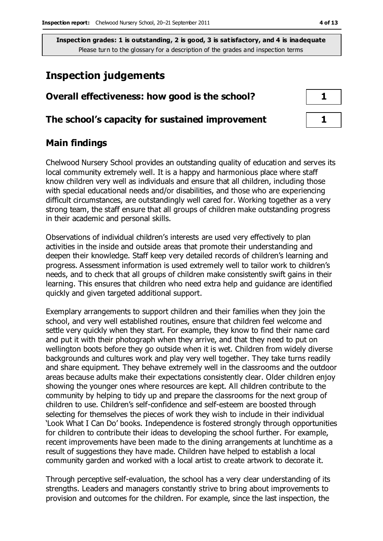# **Inspection judgements**

| Overall effectiveness: how good is the school?  |  |  |
|-------------------------------------------------|--|--|
| The school's capacity for sustained improvement |  |  |

#### **Main findings**

Chelwood Nursery School provides an outstanding quality of education and serves its local community extremely well. It is a happy and harmonious place where staff know children very well as individuals and ensure that all children, including those with special educational needs and/or disabilities, and those who are experiencing difficult circumstances, are outstandingly well cared for. Working together as a very strong team, the staff ensure that all groups of children make outstanding progress in their academic and personal skills.

Observations of individual children's interests are used very effectively to plan activities in the inside and outside areas that promote their understanding and deepen their knowledge. Staff keep very detailed records of children's learning and progress. Assessment information is used extremely well to tailor work to children's needs, and to check that all groups of children make consistently swift gains in their learning. This ensures that children who need extra help and guidance are identified quickly and given targeted additional support.

Exemplary arrangements to support children and their families when they join the school, and very well established routines, ensure that children feel welcome and settle very quickly when they start. For example, they know to find their name card and put it with their photograph when they arrive, and that they need to put on wellington boots before they go outside when it is wet. Children from widely diverse backgrounds and cultures work and play very well together. They take turns readily and share equipment. They behave extremely well in the classrooms and the outdoor areas because adults make their expectations consistently clear. Older children enjoy showing the younger ones where resources are kept. All children contribute to the community by helping to tidy up and prepare the classrooms for the next group of children to use. Children's self-confidence and self-esteem are boosted through selecting for themselves the pieces of work they wish to include in their individual 'Look What I Can Do' books. Independence is fostered strongly through opportunities for children to contribute their ideas to developing the school further. For example, recent improvements have been made to the dining arrangements at lunchtime as a result of suggestions they have made. Children have helped to establish a local community garden and worked with a local artist to create artwork to decorate it.

Through perceptive self-evaluation, the school has a very clear understanding of its strengths. Leaders and managers constantly strive to bring about improvements to provision and outcomes for the children. For example, since the last inspection, the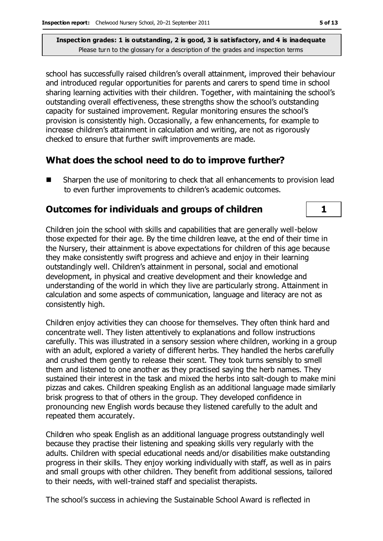school has successfully raised children's overall attainment, improved their behaviour and introduced regular opportunities for parents and carers to spend time in school sharing learning activities with their children. Together, with maintaining the school's outstanding overall effectiveness, these strengths show the school's outstanding capacity for sustained improvement. Regular monitoring ensures the school's provision is consistently high. Occasionally, a few enhancements, for example to increase children's attainment in calculation and writing, are not as rigorously checked to ensure that further swift improvements are made.

#### **What does the school need to do to improve further?**

■ Sharpen the use of monitoring to check that all enhancements to provision lead to even further improvements to children's academic outcomes.

#### **Outcomes for individuals and groups of children 1**

Children join the school with skills and capabilities that are generally well-below those expected for their age. By the time children leave, at the end of their time in the Nursery, their attainment is above expectations for children of this age because they make consistently swift progress and achieve and enjoy in their learning outstandingly well. Children's attainment in personal, social and emotional development, in physical and creative development and their knowledge and understanding of the world in which they live are particularly strong. Attainment in calculation and some aspects of communication, language and literacy are not as consistently high.

Children enjoy activities they can choose for themselves. They often think hard and concentrate well. They listen attentively to explanations and follow instructions carefully. This was illustrated in a sensory session where children, working in a group with an adult, explored a variety of different herbs. They handled the herbs carefully and crushed them gently to release their scent. They took turns sensibly to smell them and listened to one another as they practised saying the herb names. They sustained their interest in the task and mixed the herbs into salt-dough to make mini pizzas and cakes. Children speaking English as an additional language made similarly brisk progress to that of others in the group. They developed confidence in pronouncing new English words because they listened carefully to the adult and repeated them accurately.

Children who speak English as an additional language progress outstandingly well because they practise their listening and speaking skills very regularly with the adults. Children with special educational needs and/or disabilities make outstanding progress in their skills. They enjoy working individually with staff, as well as in pairs and small groups with other children. They benefit from additional sessions, tailored to their needs, with well-trained staff and specialist therapists.

The school's success in achieving the Sustainable School Award is reflected in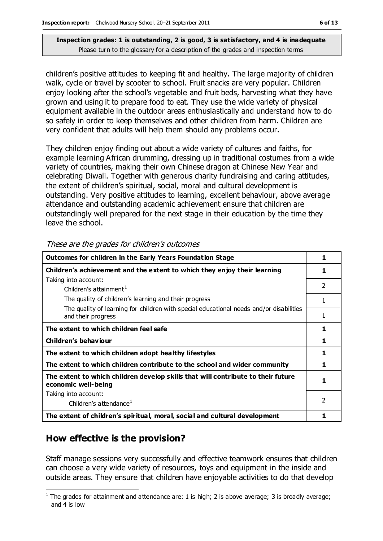children's positive attitudes to keeping fit and healthy. The large majority of children walk, cycle or travel by scooter to school. Fruit snacks are very popular. Children enjoy looking after the school's vegetable and fruit beds, harvesting what they have grown and using it to prepare food to eat. They use the wide variety of physical equipment available in the outdoor areas enthusiastically and understand how to do so safely in order to keep themselves and other children from harm. Children are very confident that adults will help them should any problems occur.

They children enjoy finding out about a wide variety of cultures and faiths, for example learning African drumming, dressing up in traditional costumes from a wide variety of countries, making their own Chinese dragon at Chinese New Year and celebrating Diwali. Together with generous charity fundraising and caring attitudes, the extent of children's spiritual, social, moral and cultural development is outstanding. Very positive attitudes to learning, excellent behaviour, above average attendance and outstanding academic achievement ensure that children are outstandingly well prepared for the next stage in their education by the time they leave the school.

| <b>Outcomes for children in the Early Years Foundation Stage</b>                                              | 1              |
|---------------------------------------------------------------------------------------------------------------|----------------|
| Children's achievement and the extent to which they enjoy their learning                                      |                |
| Taking into account:                                                                                          | $\mathfrak{D}$ |
| Children's attainment <sup>1</sup>                                                                            |                |
| The quality of children's learning and their progress                                                         |                |
| The quality of learning for children with special educational needs and/or disabilities<br>and their progress |                |
| The extent to which children feel safe                                                                        | 1              |
| Children's behaviour                                                                                          | 1              |
| The extent to which children adopt healthy lifestyles                                                         | 1              |
| The extent to which children contribute to the school and wider community                                     |                |
| The extent to which children develop skills that will contribute to their future<br>economic well-being       |                |
| Taking into account:                                                                                          |                |
| Children's attendance <sup>1</sup>                                                                            | $\mathfrak{p}$ |
| The extent of children's spiritual, moral, social and cultural development                                    |                |

These are the grades for children's outcomes

### **How effective is the provision?**

 $\overline{a}$ 

Staff manage sessions very successfully and effective teamwork ensures that children can choose a very wide variety of resources, toys and equipment in the inside and outside areas. They ensure that children have enjoyable activities to do that develop

<sup>&</sup>lt;sup>1</sup> The grades for attainment and attendance are: 1 is high; 2 is above average; 3 is broadly average; and 4 is low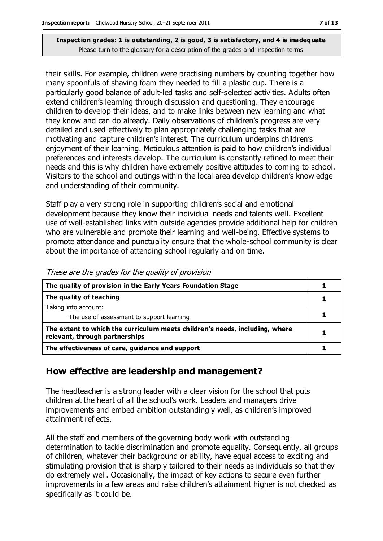their skills. For example, children were practising numbers by counting together how many spoonfuls of shaving foam they needed to fill a plastic cup. There is a particularly good balance of adult-led tasks and self-selected activities. Adults often extend children's learning through discussion and questioning. They encourage children to develop their ideas, and to make links between new learning and what they know and can do already. Daily observations of children's progress are very detailed and used effectively to plan appropriately challenging tasks that are motivating and capture children's interest. The curriculum underpins children's enjoyment of their learning. Meticulous attention is paid to how children's individual preferences and interests develop. The curriculum is constantly refined to meet their needs and this is why children have extremely positive attitudes to coming to school. Visitors to the school and outings within the local area develop children's knowledge and understanding of their community.

Staff play a very strong role in supporting children's social and emotional development because they know their individual needs and talents well. Excellent use of well-established links with outside agencies provide additional help for children who are vulnerable and promote their learning and well-being. Effective systems to promote attendance and punctuality ensure that the whole-school community is clear about the importance of attending school regularly and on time.

| The quality of provision in the Early Years Foundation Stage                                                  |  |
|---------------------------------------------------------------------------------------------------------------|--|
| The quality of teaching                                                                                       |  |
| Taking into account:                                                                                          |  |
| The use of assessment to support learning                                                                     |  |
| The extent to which the curriculum meets children's needs, including, where<br>relevant, through partnerships |  |
| The effectiveness of care, guidance and support                                                               |  |

These are the grades for the quality of provision

#### **How effective are leadership and management?**

The headteacher is a strong leader with a clear vision for the school that puts children at the heart of all the school's work. Leaders and managers drive improvements and embed ambition outstandingly well, as children's improved attainment reflects.

All the staff and members of the governing body work with outstanding determination to tackle discrimination and promote equality. Consequently, all groups of children, whatever their background or ability, have equal access to exciting and stimulating provision that is sharply tailored to their needs as individuals so that they do extremely well. Occasionally, the impact of key actions to secure even further improvements in a few areas and raise children's attainment higher is not checked as specifically as it could be.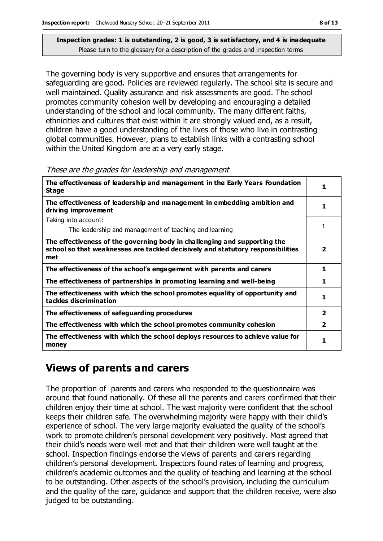The governing body is very supportive and ensures that arrangements for safeguarding are good. Policies are reviewed regularly. The school site is secure and well maintained. Quality assurance and risk assessments are good. The school promotes community cohesion well by developing and encouraging a detailed understanding of the school and local community. The many different faiths, ethnicities and cultures that exist within it are strongly valued and, as a result, children have a good understanding of the lives of those who live in contrasting global communities. However, plans to establish links with a contrasting school within the United Kingdom are at a very early stage.

These are the grades for leadership and management

| The effectiveness of leadership and management in the Early Years Foundation<br><b>Stage</b>                                                                        | 1                       |
|---------------------------------------------------------------------------------------------------------------------------------------------------------------------|-------------------------|
| The effectiveness of leadership and management in embedding ambition and<br>driving improvement                                                                     | 1                       |
| Taking into account:                                                                                                                                                |                         |
| The leadership and management of teaching and learning                                                                                                              | 1                       |
| The effectiveness of the governing body in challenging and supporting the<br>school so that weaknesses are tackled decisively and statutory responsibilities<br>met | $\overline{\mathbf{2}}$ |
| The effectiveness of the school's engagement with parents and carers                                                                                                | 1                       |
| The effectiveness of partnerships in promoting learning and well-being                                                                                              | 1                       |
| The effectiveness with which the school promotes equality of opportunity and<br>tackles discrimination                                                              | 1                       |
| The effectiveness of safeguarding procedures                                                                                                                        | $\overline{\mathbf{2}}$ |
| The effectiveness with which the school promotes community cohesion                                                                                                 | $\overline{\mathbf{2}}$ |
| The effectiveness with which the school deploys resources to achieve value for<br>money                                                                             | 1                       |

## **Views of parents and carers**

The proportion of parents and carers who responded to the questionnaire was around that found nationally. Of these all the parents and carers confirmed that their children enjoy their time at school. The vast majority were confident that the school keeps their children safe. The overwhelming majority were happy with their child's experience of school. The very large majority evaluated the quality of the school's work to promote children's personal development very positively. Most agreed that their child's needs were well met and that their children were well taught at the school. Inspection findings endorse the views of parents and carers regarding children's personal development. Inspectors found rates of learning and progress, children's academic outcomes and the quality of teaching and learning at the school to be outstanding. Other aspects of the school's provision, including the curriculum and the quality of the care, guidance and support that the children receive, were also judged to be outstanding.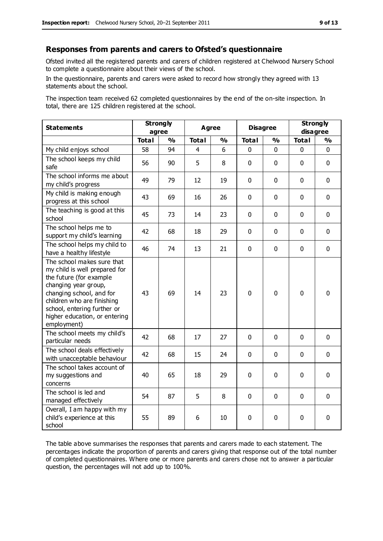#### **Responses from parents and carers to Ofsted's questionnaire**

Ofsted invited all the registered parents and carers of children registered at Chelwood Nursery School to complete a questionnaire about their views of the school.

In the questionnaire, parents and carers were asked to record how strongly they agreed with 13 statements about the school.

The inspection team received 62 completed questionnaires by the end of the on-site inspection. In total, there are 125 children registered at the school.

| <b>Statements</b>                                                                                                                                                                                                                                       | <b>Strongly</b><br>agree |               | Agree        |               | <b>Disagree</b> |             | <b>Strongly</b><br>disagree |              |
|---------------------------------------------------------------------------------------------------------------------------------------------------------------------------------------------------------------------------------------------------------|--------------------------|---------------|--------------|---------------|-----------------|-------------|-----------------------------|--------------|
|                                                                                                                                                                                                                                                         | <b>Total</b>             | $\frac{1}{2}$ | <b>Total</b> | $\frac{1}{2}$ | <b>Total</b>    | %           | <b>Total</b>                | %            |
| My child enjoys school                                                                                                                                                                                                                                  | 58                       | 94            | 4            | 6             | 0               | 0           | $\mathbf{0}$                | $\mathbf{0}$ |
| The school keeps my child<br>safe                                                                                                                                                                                                                       | 56                       | 90            | 5            | 8             | $\mathbf 0$     | $\mathbf 0$ | $\mathbf 0$                 | $\mathbf 0$  |
| The school informs me about<br>my child's progress                                                                                                                                                                                                      | 49                       | 79            | 12           | 19            | $\Omega$        | $\mathbf 0$ | $\mathbf{0}$                | $\mathbf 0$  |
| My child is making enough<br>progress at this school                                                                                                                                                                                                    | 43                       | 69            | 16           | 26            | 0               | 0           | $\mathbf 0$                 | $\mathbf 0$  |
| The teaching is good at this<br>school                                                                                                                                                                                                                  | 45                       | 73            | 14           | 23            | 0               | $\mathbf 0$ | $\mathbf 0$                 | $\mathbf 0$  |
| The school helps me to<br>support my child's learning                                                                                                                                                                                                   | 42                       | 68            | 18           | 29            | 0               | $\Omega$    | $\Omega$                    | $\mathbf 0$  |
| The school helps my child to<br>have a healthy lifestyle                                                                                                                                                                                                | 46                       | 74            | 13           | 21            | 0               | $\mathbf 0$ | $\mathbf 0$                 | $\mathbf 0$  |
| The school makes sure that<br>my child is well prepared for<br>the future (for example<br>changing year group,<br>changing school, and for<br>children who are finishing<br>school, entering further or<br>higher education, or entering<br>employment) | 43                       | 69            | 14           | 23            | $\Omega$        | $\mathbf 0$ | $\mathbf{0}$                | 0            |
| The school meets my child's<br>particular needs                                                                                                                                                                                                         | 42                       | 68            | 17           | 27            | $\mathbf 0$     | $\mathbf 0$ | $\mathbf 0$                 | $\mathbf 0$  |
| The school deals effectively<br>with unacceptable behaviour                                                                                                                                                                                             | 42                       | 68            | 15           | 24            | $\Omega$        | $\mathbf 0$ | $\mathbf{0}$                | $\mathbf 0$  |
| The school takes account of<br>my suggestions and<br>concerns                                                                                                                                                                                           | 40                       | 65            | 18           | 29            | 0               | $\mathbf 0$ | $\mathbf 0$                 | $\mathbf 0$  |
| The school is led and<br>managed effectively                                                                                                                                                                                                            | 54                       | 87            | 5            | 8             | 0               | $\mathbf 0$ | $\Omega$                    | $\mathbf 0$  |
| Overall, I am happy with my<br>child's experience at this<br>school                                                                                                                                                                                     | 55                       | 89            | 6            | 10            | 0               | $\mathbf 0$ | $\mathbf 0$                 | $\mathbf 0$  |

The table above summarises the responses that parents and carers made to each statement. The percentages indicate the proportion of parents and carers giving that response out of the total number of completed questionnaires. Where one or more parents and carers chose not to answer a particular question, the percentages will not add up to 100%.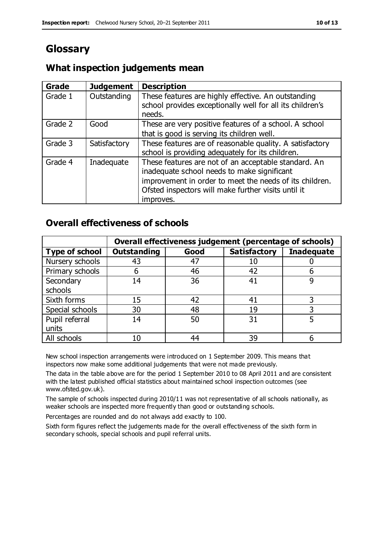# **Glossary**

#### **What inspection judgements mean**

| Grade   | <b>Judgement</b> | <b>Description</b>                                                                                                                                                                                                                 |
|---------|------------------|------------------------------------------------------------------------------------------------------------------------------------------------------------------------------------------------------------------------------------|
| Grade 1 | Outstanding      | These features are highly effective. An outstanding<br>school provides exceptionally well for all its children's<br>needs.                                                                                                         |
| Grade 2 | Good             | These are very positive features of a school. A school<br>that is good is serving its children well.                                                                                                                               |
| Grade 3 | Satisfactory     | These features are of reasonable quality. A satisfactory<br>school is providing adequately for its children.                                                                                                                       |
| Grade 4 | Inadequate       | These features are not of an acceptable standard. An<br>inadequate school needs to make significant<br>improvement in order to meet the needs of its children.<br>Ofsted inspectors will make further visits until it<br>improves. |

#### **Overall effectiveness of schools**

|                       |                    |      | Overall effectiveness judgement (percentage of schools) |                   |
|-----------------------|--------------------|------|---------------------------------------------------------|-------------------|
| <b>Type of school</b> | <b>Outstanding</b> | Good | <b>Satisfactory</b>                                     | <b>Inadequate</b> |
| Nursery schools       | 43                 | 47   | 10                                                      |                   |
| Primary schools       | 6                  | 46   | 42                                                      |                   |
| Secondary             | 14                 | 36   | 41                                                      |                   |
| schools               |                    |      |                                                         |                   |
| Sixth forms           | 15                 | 42   | 41                                                      |                   |
| Special schools       | 30                 | 48   | 19                                                      |                   |
| Pupil referral        | 14                 | 50   | 31                                                      |                   |
| units                 |                    |      |                                                         |                   |
| All schools           | 10                 | 44   | 39                                                      |                   |

New school inspection arrangements were introduced on 1 September 2009. This means that inspectors now make some additional judgements that were not made previously.

The data in the table above are for the period 1 September 2010 to 08 April 2011 and are consistent with the latest published official statistics about maintained school inspection outcomes (see www.ofsted.gov.uk).

The sample of schools inspected during 2010/11 was not representative of all schools nationally, as weaker schools are inspected more frequently than good or outstanding schools.

Percentages are rounded and do not always add exactly to 100.

Sixth form figures reflect the judgements made for the overall effectiveness of the sixth form in secondary schools, special schools and pupil referral units.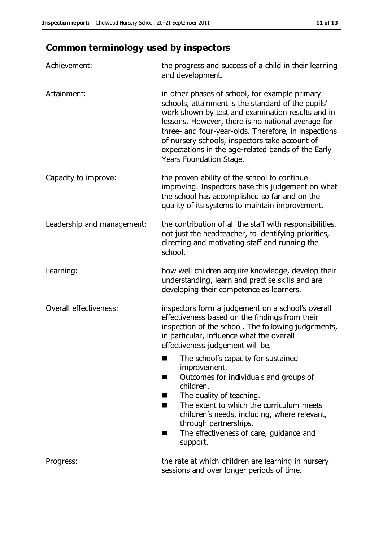# **Common terminology used by inspectors**

| Achievement:                  | the progress and success of a child in their learning<br>and development.                                                                                                                                                                                                                                                                                                                                  |
|-------------------------------|------------------------------------------------------------------------------------------------------------------------------------------------------------------------------------------------------------------------------------------------------------------------------------------------------------------------------------------------------------------------------------------------------------|
| Attainment:                   | in other phases of school, for example primary<br>schools, attainment is the standard of the pupils'<br>work shown by test and examination results and in<br>lessons. However, there is no national average for<br>three- and four-year-olds. Therefore, in inspections<br>of nursery schools, inspectors take account of<br>expectations in the age-related bands of the Early<br>Years Foundation Stage. |
| Capacity to improve:          | the proven ability of the school to continue<br>improving. Inspectors base this judgement on what<br>the school has accomplished so far and on the<br>quality of its systems to maintain improvement.                                                                                                                                                                                                      |
| Leadership and management:    | the contribution of all the staff with responsibilities,<br>not just the headteacher, to identifying priorities,<br>directing and motivating staff and running the<br>school.                                                                                                                                                                                                                              |
| Learning:                     | how well children acquire knowledge, develop their<br>understanding, learn and practise skills and are<br>developing their competence as learners.                                                                                                                                                                                                                                                         |
| <b>Overall effectiveness:</b> | inspectors form a judgement on a school's overall<br>effectiveness based on the findings from their<br>inspection of the school. The following judgements,<br>in particular, influence what the overall<br>effectiveness judgement will be.                                                                                                                                                                |
|                               | The school's capacity for sustained<br>improvement.<br>Outcomes for individuals and groups of<br>a s<br>children.<br>The quality of teaching.<br>ш<br>The extent to which the curriculum meets<br>ш<br>children's needs, including, where relevant,<br>through partnerships.<br>The effectiveness of care, guidance and<br>ш<br>support.                                                                   |
| Progress:                     | the rate at which children are learning in nursery<br>sessions and over longer periods of time.                                                                                                                                                                                                                                                                                                            |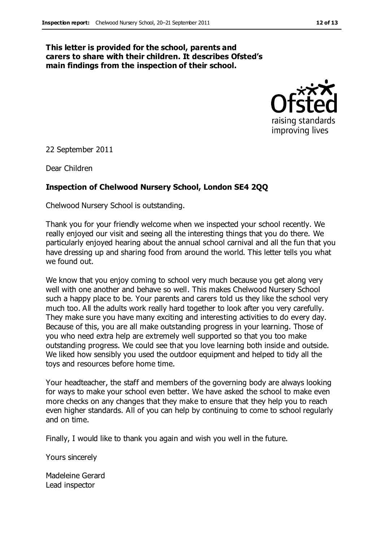#### **This letter is provided for the school, parents and carers to share with their children. It describes Ofsted's main findings from the inspection of their school.**



22 September 2011

Dear Children

#### **Inspection of Chelwood Nursery School, London SE4 2QQ**

Chelwood Nursery School is outstanding.

Thank you for your friendly welcome when we inspected your school recently. We really enjoyed our visit and seeing all the interesting things that you do there. We particularly enjoyed hearing about the annual school carnival and all the fun that you have dressing up and sharing food from around the world. This letter tells you what we found out.

We know that you enjoy coming to school very much because you get along very well with one another and behave so well. This makes Chelwood Nursery School such a happy place to be. Your parents and carers told us they like the school very much too. All the adults work really hard together to look after you very carefully. They make sure you have many exciting and interesting activities to do every day. Because of this, you are all make outstanding progress in your learning. Those of you who need extra help are extremely well supported so that you too make outstanding progress. We could see that you love learning both inside and outside. We liked how sensibly you used the outdoor equipment and helped to tidy all the toys and resources before home time.

Your headteacher, the staff and members of the governing body are always looking for ways to make your school even better. We have asked the school to make even more checks on any changes that they make to ensure that they help you to reach even higher standards. All of you can help by continuing to come to school regularly and on time.

Finally, I would like to thank you again and wish you well in the future.

Yours sincerely

Madeleine Gerard Lead inspector